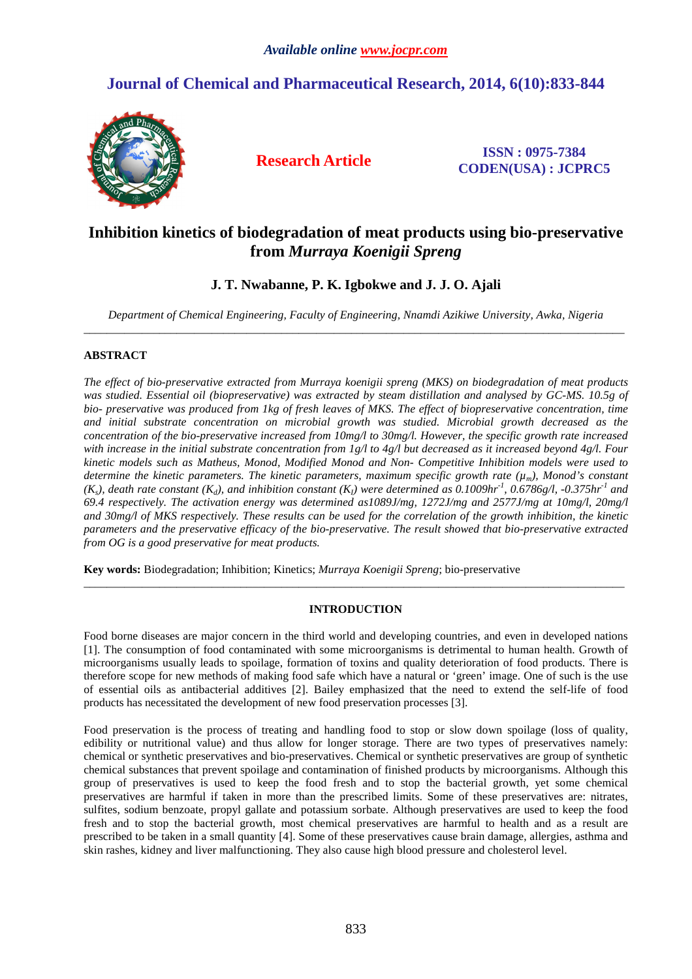# **Journal of Chemical and Pharmaceutical Research, 2014, 6(10):833-844**



**Research Article ISSN : 0975-7384 CODEN(USA) : JCPRC5**

# **Inhibition kinetics of biodegradation of meat products using bio-preservative from** *Murraya Koenigii Spreng*

**J. T. Nwabanne, P. K. Igbokwe and J. J. O. Ajali** 

*Department of Chemical Engineering, Faculty of Engineering, Nnamdi Azikiwe University, Awka, Nigeria*  \_\_\_\_\_\_\_\_\_\_\_\_\_\_\_\_\_\_\_\_\_\_\_\_\_\_\_\_\_\_\_\_\_\_\_\_\_\_\_\_\_\_\_\_\_\_\_\_\_\_\_\_\_\_\_\_\_\_\_\_\_\_\_\_\_\_\_\_\_\_\_\_\_\_\_\_\_\_\_\_\_\_\_\_\_\_\_\_\_\_\_\_\_

# **ABSTRACT**

*The effect of bio-preservative extracted from Murraya koenigii spreng (MKS) on biodegradation of meat products was studied. Essential oil (biopreservative) was extracted by steam distillation and analysed by GC-MS. 10.5g of bio- preservative was produced from 1kg of fresh leaves of MKS. The effect of biopreservative concentration, time and initial substrate concentration on microbial growth was studied. Microbial growth decreased as the concentration of the bio-preservative increased from 10mg/l to 30mg/l. However, the specific growth rate increased with increase in the initial substrate concentration from 1g/l to 4g/l but decreased as it increased beyond 4g/l. Four kinetic models such as Matheus, Monod, Modified Monod and Non- Competitive Inhibition models were used to determine the kinetic parameters. The kinetic parameters, maximum specific growth rate (µm), Monod's constant*   $(K_s)$ , death rate constant  $(K_d)$ , and inhibition constant  $(K_l)$  were determined as 0.1009hr<sup>-1</sup>, 0.6786g/l, -0.375hr<sup>-1</sup> and *69.4 respectively. The activation energy was determined as1089J/mg, 1272J/mg and 2577J/mg at 10mg/l, 20mg/l and 30mg/l of MKS respectively. These results can be used for the correlation of the growth inhibition, the kinetic parameters and the preservative efficacy of the bio-preservative. The result showed that bio-preservative extracted from OG is a good preservative for meat products.* 

**Key words:** Biodegradation; Inhibition; Kinetics; *Murraya Koenigii Spreng*; bio-preservative

# **INTRODUCTION**

 $\overline{a}$  , and the contribution of the contribution of the contribution of the contribution of the contribution of the contribution of the contribution of the contribution of the contribution of the contribution of the co

Food borne diseases are major concern in the third world and developing countries, and even in developed nations [1]. The consumption of food contaminated with some microorganisms is detrimental to human health. Growth of microorganisms usually leads to spoilage, formation of toxins and quality deterioration of food products. There is therefore scope for new methods of making food safe which have a natural or 'green' image. One of such is the use of essential oils as antibacterial additives [2]. Bailey emphasized that the need to extend the self-life of food products has necessitated the development of new food preservation processes [3].

Food preservation is the process of treating and handling food to stop or slow down spoilage (loss of quality, edibility or nutritional value) and thus allow for longer storage. There are two types of preservatives namely: chemical or synthetic preservatives and bio-preservatives. Chemical or synthetic preservatives are group of synthetic chemical substances that prevent spoilage and contamination of finished products by microorganisms. Although this group of preservatives is used to keep the food fresh and to stop the bacterial growth, yet some chemical preservatives are harmful if taken in more than the prescribed limits. Some of these preservatives are: nitrates, sulfites, sodium benzoate, propyl gallate and potassium sorbate. Although preservatives are used to keep the food fresh and to stop the bacterial growth, most chemical preservatives are harmful to health and as a result are prescribed to be taken in a small quantity [4]. Some of these preservatives cause brain damage, allergies, asthma and skin rashes, kidney and liver malfunctioning. They also cause high blood pressure and cholesterol level.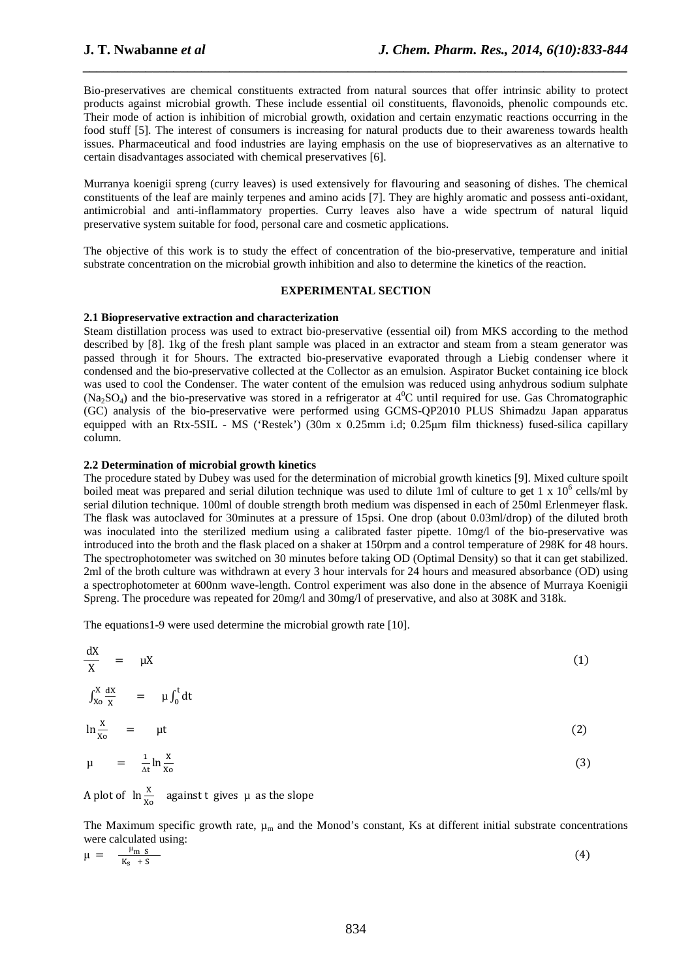Bio-preservatives are chemical constituents extracted from natural sources that offer intrinsic ability to protect products against microbial growth. These include essential oil constituents, flavonoids, phenolic compounds etc. Their mode of action is inhibition of microbial growth, oxidation and certain enzymatic reactions occurring in the food stuff [5]. The interest of consumers is increasing for natural products due to their awareness towards health issues. Pharmaceutical and food industries are laying emphasis on the use of biopreservatives as an alternative to certain disadvantages associated with chemical preservatives [6].

*\_\_\_\_\_\_\_\_\_\_\_\_\_\_\_\_\_\_\_\_\_\_\_\_\_\_\_\_\_\_\_\_\_\_\_\_\_\_\_\_\_\_\_\_\_\_\_\_\_\_\_\_\_\_\_\_\_\_\_\_\_\_\_\_\_\_\_\_\_\_\_\_\_\_\_\_\_\_*

Murranya koenigii spreng (curry leaves) is used extensively for flavouring and seasoning of dishes. The chemical constituents of the leaf are mainly terpenes and amino acids [7]. They are highly aromatic and possess anti-oxidant, antimicrobial and anti-inflammatory properties. Curry leaves also have a wide spectrum of natural liquid preservative system suitable for food, personal care and cosmetic applications.

The objective of this work is to study the effect of concentration of the bio-preservative, temperature and initial substrate concentration on the microbial growth inhibition and also to determine the kinetics of the reaction.

## **EXPERIMENTAL SECTION**

### **2.1 Biopreservative extraction and characterization**

Steam distillation process was used to extract bio-preservative (essential oil) from MKS according to the method described by [8]. 1kg of the fresh plant sample was placed in an extractor and steam from a steam generator was passed through it for 5hours. The extracted bio-preservative evaporated through a Liebig condenser where it condensed and the bio-preservative collected at the Collector as an emulsion. Aspirator Bucket containing ice block was used to cool the Condenser. The water content of the emulsion was reduced using anhydrous sodium sulphate  $(Na_2SO_4)$  and the bio-preservative was stored in a refrigerator at  $4^{\circ}$ C until required for use. Gas Chromatographic (GC) analysis of the bio-preservative were performed using GCMS-QP2010 PLUS Shimadzu Japan apparatus equipped with an Rtx-5SIL - MS ('Restek') (30m x 0.25mm i.d; 0.25µm film thickness) fused-silica capillary column.

# **2.2 Determination of microbial growth kinetics**

The procedure stated by Dubey was used for the determination of microbial growth kinetics [9]. Mixed culture spoilt boiled meat was prepared and serial dilution technique was used to dilute 1ml of culture to get 1 x  $10^6$  cells/ml by serial dilution technique. 100ml of double strength broth medium was dispensed in each of 250ml Erlenmeyer flask. The flask was autoclaved for 30minutes at a pressure of 15psi. One drop (about 0.03ml/drop) of the diluted broth was inoculated into the sterilized medium using a calibrated faster pipette. 10mg/l of the bio-preservative was introduced into the broth and the flask placed on a shaker at 150rpm and a control temperature of 298K for 48 hours. The spectrophotometer was switched on 30 minutes before taking OD (Optimal Density) so that it can get stabilized. 2ml of the broth culture was withdrawn at every 3 hour intervals for 24 hours and measured absorbance (OD) using a spectrophotometer at 600nm wave-length. Control experiment was also done in the absence of Murraya Koenigii Spreng. The procedure was repeated for 20mg/l and 30mg/l of preservative, and also at 308K and 318k.

The equations1-9 were used determine the microbial growth rate [10].

$$
\frac{dX}{X} = \mu X \tag{1}
$$

$$
\int_{X_0}^{X} \frac{dx}{x} = \mu \int_0^t dt
$$
  

$$
\ln \frac{x}{x_0} = \mu t
$$
 (2)

$$
\mu = \frac{1}{\Delta t} \ln \frac{x}{x_0} \tag{3}
$$

A plot of  $\ln \frac{x}{x_0}$  against t gives  $\mu$  as the slope

The Maximum specific growth rate,  $\mu_m$  and the Monod's constant, Ks at different initial substrate concentrations were calculated using:

$$
\mu = \frac{\mu_{m \text{ s}}}{K_{s} + S} \tag{4}
$$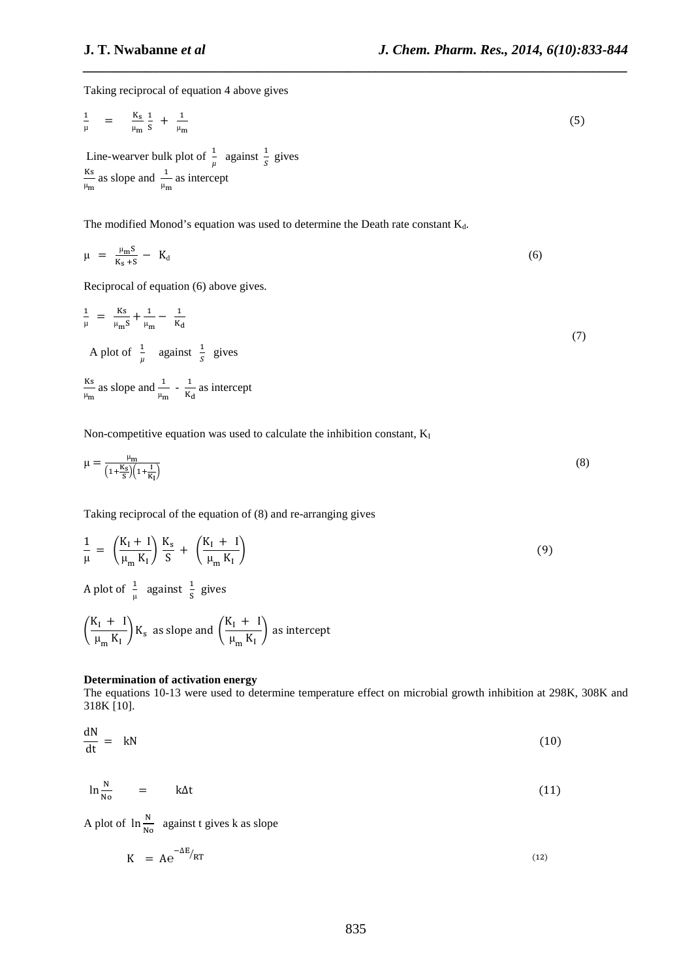Taking reciprocal of equation 4 above gives

$$
\frac{1}{\mu} = \frac{K_s}{\mu_m} \frac{1}{s} + \frac{1}{\mu_m}
$$
 (5)

*\_\_\_\_\_\_\_\_\_\_\_\_\_\_\_\_\_\_\_\_\_\_\_\_\_\_\_\_\_\_\_\_\_\_\_\_\_\_\_\_\_\_\_\_\_\_\_\_\_\_\_\_\_\_\_\_\_\_\_\_\_\_\_\_\_\_\_\_\_\_\_\_\_\_\_\_\_\_*

Line-wearver bulk plot of  $\frac{1}{\mu}$  against  $\frac{1}{s}$  gives  $_{\rm Ks}$  $\frac{Ks}{\mu_m}$  as slope and  $\frac{1}{\mu_m}$  as intercept

The modified Monod's equation was used to determine the Death rate constant  $K_d$ .

$$
\mu = \frac{\mu_{\rm m} S}{K_{\rm s} + S} - K_{\rm d} \tag{6}
$$

Reciprocal of equation (6) above gives.

$$
\frac{1}{\mu} = \frac{Ks}{\mu_m s} + \frac{1}{\mu_m} - \frac{1}{K_d}
$$
\n
$$
A \text{ plot of } \frac{1}{\mu} \text{ against } \frac{1}{s} \text{ gives}
$$
\n
$$
(7)
$$

 $_{\rm Ks}$  $\frac{Ks}{\mu_m}$  as slope and  $\frac{1}{\mu_m}$  -  $\frac{1}{K_0}$  $\frac{1}{K_d}$  as intercept

Non-competitive equation was used to calculate the inhibition constant,  $K_I$ 

$$
\mu = \frac{\mu_{\rm m}}{\left(1 + \frac{K_{\rm S}}{S}\right)\left(1 + \frac{I}{K_{\rm I}}\right)}\tag{8}
$$

Taking reciprocal of the equation of (8) and re-arranging gives

$$
\frac{1}{\mu} = \left(\frac{K_I + I}{\mu_m K_I}\right) \frac{K_s}{S} + \left(\frac{K_I + I}{\mu_m K_I}\right) \tag{9}
$$

A plot of  $\frac{1}{\mu}$  against  $\frac{1}{s}$  gives

$$
\left(\frac{K_I + I}{\mu_m K_I}\right) K_s
$$
 as slope and  $\left(\frac{K_I + I}{\mu_m K_I}\right)$  as intercept

# **Determination of activation energy**

The equations 10-13 were used to determine temperature effect on microbial growth inhibition at 298K, 308K and 318K [10].

$$
\frac{dN}{dt} = kN \tag{10}
$$

$$
\ln \frac{N}{N_0} = k\Delta t \tag{11}
$$

A plot of  $\ln \frac{N}{N0}$  against t gives k as slope

$$
K = Ae^{-\Delta E/RT}
$$
 (12)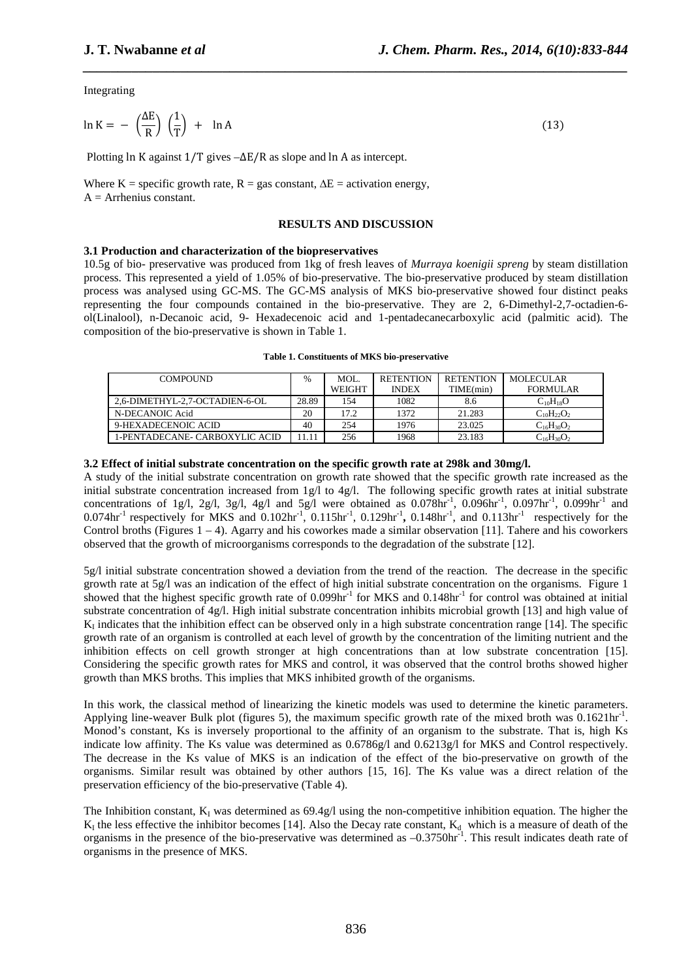Integrating

$$
\ln K = -\left(\frac{\Delta E}{R}\right) \left(\frac{1}{T}\right) + \ln A \tag{13}
$$

Plotting ln K against 1/T gives –∆E/R as slope and ln A as intercept.

Where K = specific growth rate, R = gas constant,  $\Delta E$  = activation energy,  $A =$  Arrhenius constant.

#### **RESULTS AND DISCUSSION**

*\_\_\_\_\_\_\_\_\_\_\_\_\_\_\_\_\_\_\_\_\_\_\_\_\_\_\_\_\_\_\_\_\_\_\_\_\_\_\_\_\_\_\_\_\_\_\_\_\_\_\_\_\_\_\_\_\_\_\_\_\_\_\_\_\_\_\_\_\_\_\_\_\_\_\_\_\_\_*

### **3.1 Production and characterization of the biopreservatives**

10.5g of bio- preservative was produced from 1kg of fresh leaves of *Murraya koenigii spreng* by steam distillation process. This represented a yield of 1.05% of bio-preservative. The bio-preservative produced by steam distillation process was analysed using GC-MS. The GC-MS analysis of MKS bio-preservative showed four distinct peaks representing the four compounds contained in the bio-preservative. They are 2, 6-Dimethyl-2,7-octadien-6 ol(Linalool), n-Decanoic acid, 9- Hexadecenoic acid and 1-pentadecanecarboxylic acid (palmitic acid). The composition of the bio-preservative is shown in Table 1.

|  |  |  | Table 1. Constituents of MKS bio-preservative |
|--|--|--|-----------------------------------------------|
|--|--|--|-----------------------------------------------|

| <b>COMPOUND</b>                |       | MOL.          | <b>RETENTION</b> | <b>RETENTION</b> | <b>MOLECULAR</b>  |
|--------------------------------|-------|---------------|------------------|------------------|-------------------|
|                                |       | <b>WEIGHT</b> | <b>INDEX</b>     | TIME(min)        | <b>FORMULAR</b>   |
| 2.6-DIMETHYL-2.7-OCTADIEN-6-OL | 28.89 | 154           | 1082             | 8.6              | $C_{10}H_{18}O$   |
| N-DECANOIC Acid                | 20    | 17.2          | 1372             | 21.283           | $C_{10}H_{22}O_2$ |
| 9-HEXADECENOIC ACID            | 40    | 254           | 1976             | 23.025           | $C_{16}H_{30}O_2$ |
| 1-PENTADECANE- CARBOXYLIC ACID | 11.11 | 256           | 1968             | 23.183           | $C_{16}H_{30}O_2$ |

### **3.2 Effect of initial substrate concentration on the specific growth rate at 298k and 30mg/l.**

A study of the initial substrate concentration on growth rate showed that the specific growth rate increased as the initial substrate concentration increased from 1g/l to 4g/l. The following specific growth rates at initial substrate concentrations of 1g/l, 2g/l, 3g/l, 4g/l and 5g/l were obtained as  $0.078\text{hr}^{-1}$ ,  $0.096\text{hr}^{-1}$ ,  $0.097\text{hr}^{-1}$ ,  $0.099\text{hr}^{-1}$  and 0.074hr-1 respectively for MKS and 0.102hr-1, 0.115hr-1, 0.129hr-1 **,** 0.148hr-1, and 0.113hr-1 respectively for the Control broths (Figures  $1 - 4$ ). Agarry and his coworkes made a similar observation [11]. Tahere and his coworkers observed that the growth of microorganisms corresponds to the degradation of the substrate [12].

5g/l initial substrate concentration showed a deviation from the trend of the reaction. The decrease in the specific growth rate at  $5g/1$  was an indication of the effect of high initial substrate concentration on the organisms. Figure 1 showed that the highest specific growth rate of 0.099hr<sup>-1</sup> for MKS and 0.148hr<sup>-1</sup> for control was obtained at initial substrate concentration of 4g/l. High initial substrate concentration inhibits microbial growth [13] and high value of  $K_I$  indicates that the inhibition effect can be observed only in a high substrate concentration range [14]. The specific growth rate of an organism is controlled at each level of growth by the concentration of the limiting nutrient and the inhibition effects on cell growth stronger at high concentrations than at low substrate concentration [15]. Considering the specific growth rates for MKS and control, it was observed that the control broths showed higher growth than MKS broths. This implies that MKS inhibited growth of the organisms.

In this work, the classical method of linearizing the kinetic models was used to determine the kinetic parameters. Applying line-weaver Bulk plot (figures 5), the maximum specific growth rate of the mixed broth was 0.1621hr<sup>-1</sup>. Monod's constant, Ks is inversely proportional to the affinity of an organism to the substrate. That is, high Ks indicate low affinity. The Ks value was determined as  $0.6786g/1$  and  $0.6213g/1$  for MKS and Control respectively. The decrease in the Ks value of MKS is an indication of the effect of the bio-preservative on growth of the organisms. Similar result was obtained by other authors [15, 16]. The Ks value was a direct relation of the preservation efficiency of the bio-preservative (Table 4).

The Inhibition constant,  $K_I$  was determined as 69.4g/l using the non-competitive inhibition equation. The higher the  $K_1$  the less effective the inhibitor becomes [14]. Also the Decay rate constant,  $K_d$  which is a measure of death of the organisms in the presence of the bio-preservative was determined as  $-0.3750$ hr<sup>-1</sup>. This result indicates death rate of organisms in the presence of MKS.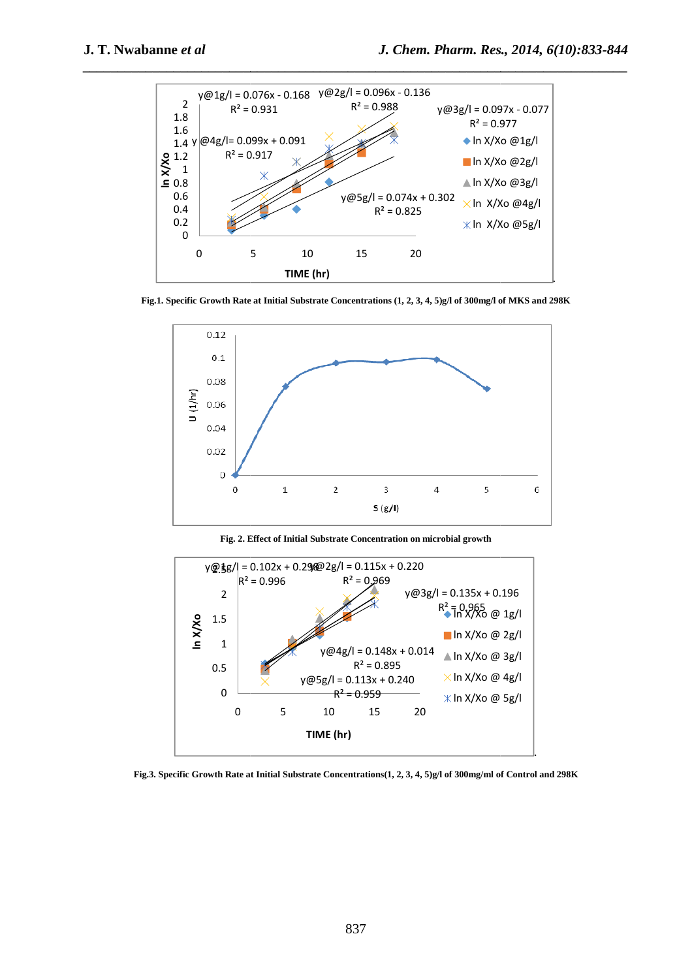

**Fig.1. Specific Growth Rate at Initial Substrate Concentrations (1, 2, 3, 4, 5)g/l 5)g/l of 300mg/l of MKS and 298K**



**Fig. 2. Effect of Initial Substrate Concentration on microbial growth**



**Fig.3. Specific Growth Rate at Initial Substrate Concentrations(1, 2, 3, 4, 5)g/l of 300mg/ml of Control and 298K**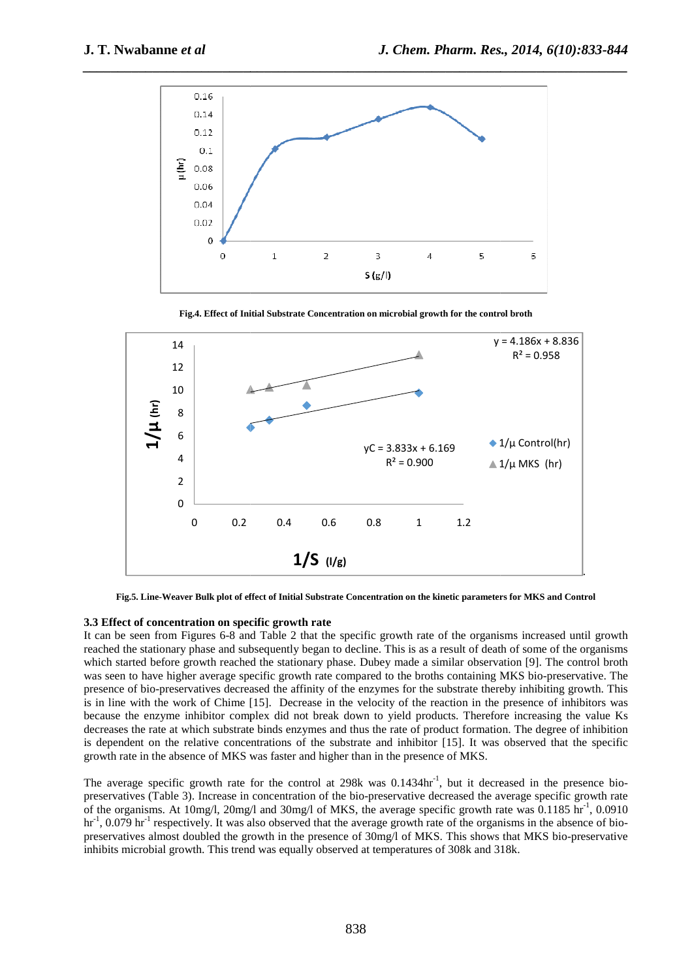

**Fig.4. Effect of Initial Substrate Concentration on microbial growth for the control broth**



Fig.5. Line-Weaver Bulk plot of effect of Initial Substrate Concentration on the kinetic parameters for MKS and Control

### **3.3 Effect of concentration on specific growth rate**

It can be seen from Figures 6-8 and Table 2 that the specific growth rate of the organisms increased until growth reached the stationary phase and subsequently began to decline. This is as a result of death of some of the organisms which started before growth reached the stationary phase. Dubey made a similar observation [9]. The control broth was seen to have higher average specific growth rate compared to the broths containing MKS bio-preservative. The presence of bio-preservatives decreased the affinity of the enzymes for the substrate thereby inhibiting growth. This is in line with the work of Chime [15]. Decrease in the velocity of the reaction in the presence of inhibitors was It can be seen from Figures 6-8 and Table 2 that the specific growth rate of the organisms increased until growth reached the stationary began to decline. This is as a result of death of some of the organisms which started decreases the rate at which substrate binds enzymes and thus the rate of product formation. The degree of inhibition is dependent on the relative concentrations of the substrate and inhibitor [15]. It was observed that the specific growth rate in the absence of MKS was faster and higher than in the presence of MKS. because the enzyme inhibitor complex did not break down to yield products. Therefore increasing the value Ks decreases the rate at which substrate binds enzymes and thus the rate of product formation. The degree of inhibit

preservatives (Table 3). Increase in concentration of the bio-preservative decreased the average specific growth rate preservatives (Table 3). Increase in concentration of the bio-preservative decreased the average specific growth rate<br>of the organisms. At 10mg/l, 20mg/l and 30mg/l of MKS, the average specific growth rate was 0.1185 hr<sup>-1</sup>  $\text{hr}^{-1}$ , 0.079  $\text{hr}^{-1}$  respectively. It was also observed that the average growth rate of the organisms in the absence of biopreservatives almost doubled the growth in the presence of 30mg/l of MKS. This shows that MKS bio-preservative inhibits microbial growth. This trend was equally observed at temperatures of 30 308k and 318k.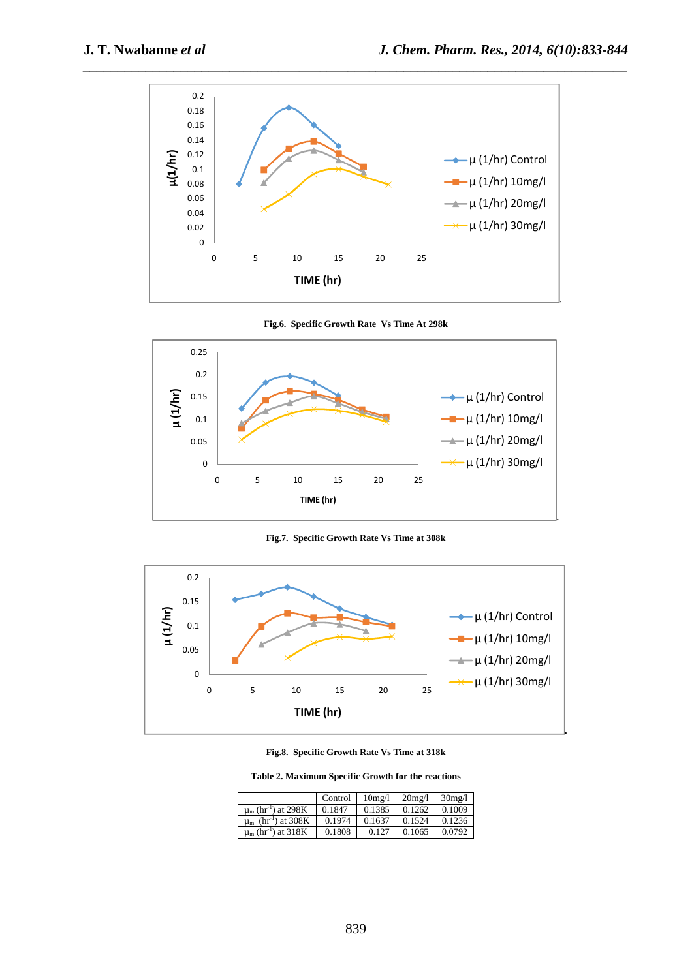

**Fig.6. Specific Growth Rate Vs Time At 298k** 



**Fig.7. Specific Growth Rate Vs Time at 308k** 



**Fig.8. Specific Growth Rate Vs Time at 318k** 

**Table 2. Maximum Specific Growth for the reactions** 

|                                           | Control | $10$ mg/l | $20$ mg/l | $30$ mg/l |
|-------------------------------------------|---------|-----------|-----------|-----------|
| $\mu_{\rm m}$ (hr <sup>-1</sup> ) at 298K | 0.1847  | 0.1385    | 0.1262    | 0.1009    |
| $\mu_{m}$ (hr <sup>-1</sup> ) at 308K     | 0.1974  | 0.1637    | 0.1524    | 0.1236    |
| $\mu_{\rm m}$ (hr <sup>-1</sup> ) at 318K | 0.1808  | 0.127     | 0.1065    | 0.0792    |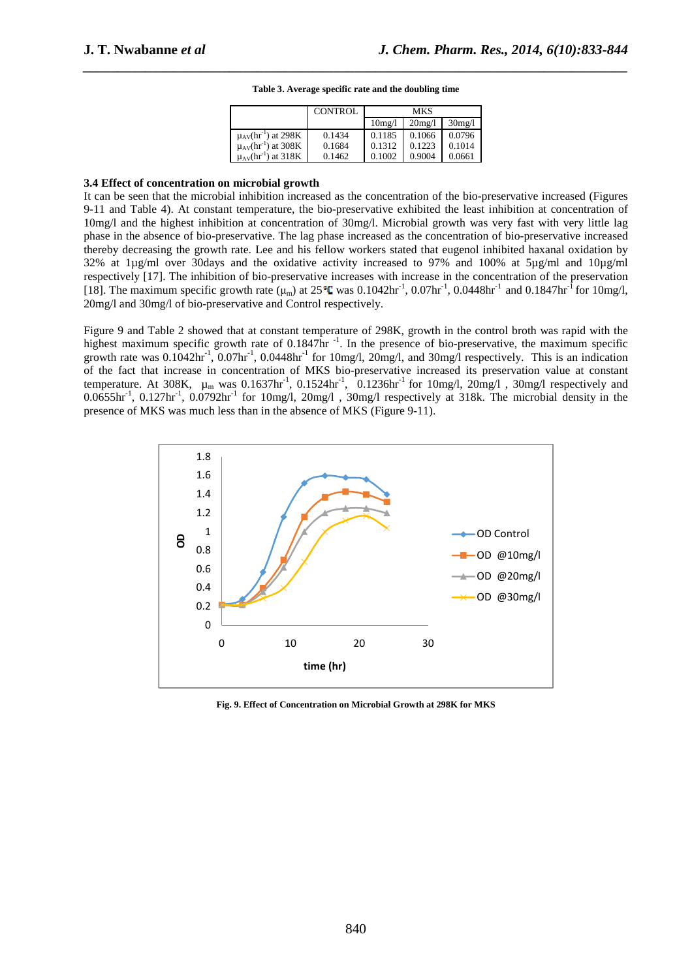*\_\_\_\_\_\_\_\_\_\_\_\_\_\_\_\_\_\_\_\_\_\_\_\_\_\_\_\_\_\_\_\_\_\_\_\_\_\_\_\_\_\_\_\_\_\_\_\_\_\_\_\_\_\_\_\_\_\_\_\_\_\_\_\_\_\_\_\_\_\_\_\_\_\_\_\_\_\_* **Table 3. Average specific rate and the doubling time** 

|                                        | <b>CONTROL</b> | MKS    |        |        |
|----------------------------------------|----------------|--------|--------|--------|
|                                        |                | 10mg/l | 20mg/1 | 30mg/1 |
| $\mu_{AV}$ (hr <sup>-1</sup> ) at 298K | 0.1434         | 0.1185 | 0.1066 | 0.0796 |
| $\mu_{AV}$ (hr <sup>-1</sup> ) at 308K | 0.1684         | 0.1312 | 0.1223 | 0.1014 |
| $\mu_{AV}$ (hr <sup>-1</sup> ) at 318K | 0.1462         | 0.1002 | 0.9004 | 0.0661 |

#### **3.4 Effect of concentration on microbial growth**

It can be seen that the microbial inhibition increased as the concentration of the bio-preservative increased (Figures 9-11 and Table 4). At constant temperature, the bio-preservative exhibited the least inhibition at concentration of 10mg/l and the highest inhibition at concentration of 30mg/l. Microbial growth was very fast with very little lag phase in the absence of bio-preservative. The lag phase increased as the concentration of bio-preservative increased thereby decreasing the growth rate. Lee and his fellow workers stated that eugenol inhibited haxanal oxidation by 32% at 1µg/ml over 30days and the oxidative activity increased to 97% and 100% at 5µg/ml and 10µg/ml respectively [17]. The inhibition of bio-preservative increases with increase in the concentration of the preservation [18]. The maximum specific growth rate ( $\mu$ m) at 25 °C was 0.1042hr<sup>-1</sup>, 0.07hr<sup>-1</sup>, 0.0448hr<sup>-1</sup> and 0.1847hr<sup>-1</sup> for 10mg/l, 20mg/l and 30mg/l of bio-preservative and Control respectively.

Figure 9 and Table 2 showed that at constant temperature of 298K, growth in the control broth was rapid with the highest maximum specific growth rate of 0.1847hr  $^{-1}$ . In the presence of bio-preservative, the maximum specific growth rate was  $0.1042 \text{hr}^{-1}$ ,  $0.07 \text{hr}^{-1}$ ,  $0.0448 \text{hr}^{-1}$  for  $10 \text{mg/l}$ ,  $20 \text{mg/l}$ , and  $30 \text{mg/l}$  respectively. This is an indication of the fact that increase in concentration of MKS bio-preservative increased its preservation value at constant temperature. At 308K,  $\mu_m$  was 0.1637hr<sup>-1</sup>, 0.1524hr<sup>-1</sup>, 0.1236hr<sup>-1</sup> for 10mg/l, 20mg/l, 30mg/l respectively and  $0.0655$ hr<sup>-1</sup>,  $0.127$ hr<sup>-1</sup>,  $0.0792$ hr<sup>-1</sup> for 10mg/l,  $20$ mg/l,  $30$ mg/l respectively at 318k. The microbial density in the presence of MKS was much less than in the absence of MKS (Figure 9-11).



**Fig. 9. Effect of Concentration on Microbial Growth at 298K for MKS**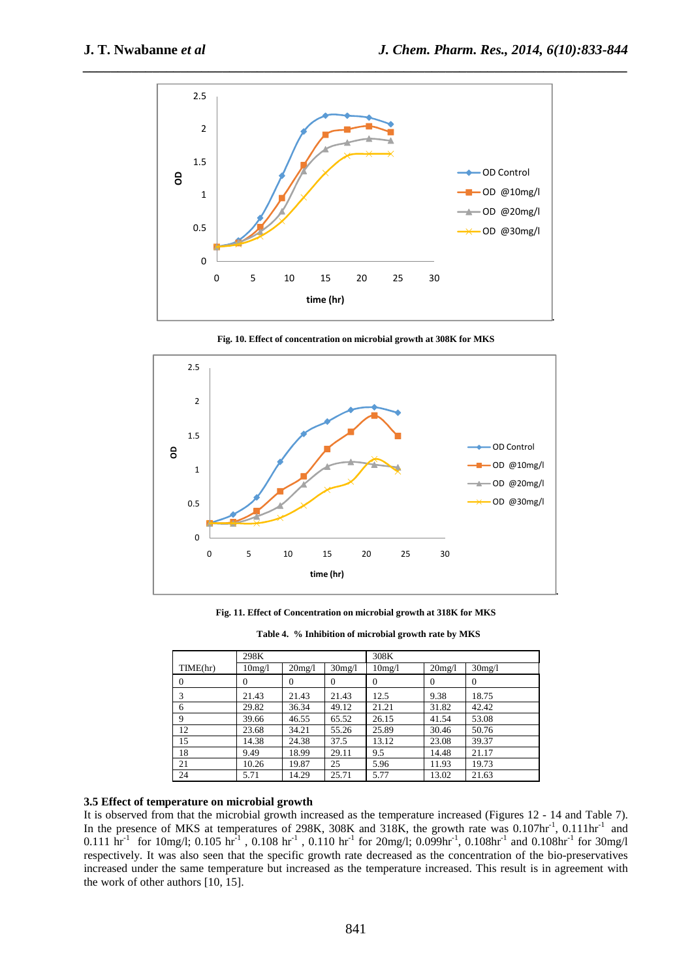

**Fig. 10. Effect of concentration on microbial growth at 308K for MKS** 



**Fig. 11. Effect of Concentration on microbial growth at 318K for MKS** 

| Table 4. % Inhibition of microbial growth rate by MKS |  |  |
|-------------------------------------------------------|--|--|
|                                                       |  |  |

|          | 298K                |                |          | 308K                |          |                |
|----------|---------------------|----------------|----------|---------------------|----------|----------------|
| TIME(hr) | 10 <sub>mg</sub> /1 | 20mg/l         | 30mg/l   | 10 <sub>mg</sub> /l | 20mg/1   | 30mg/l         |
| $\theta$ | 0                   | $\overline{0}$ | $\Omega$ | $\Omega$            | $\Omega$ | $\overline{0}$ |
| 3        | 21.43               | 21.43          | 21.43    | 12.5                | 9.38     | 18.75          |
| 6        | 29.82               | 36.34          | 49.12    | 21.21               | 31.82    | 42.42          |
| 9        | 39.66               | 46.55          | 65.52    | 26.15               | 41.54    | 53.08          |
| 12       | 23.68               | 34.21          | 55.26    | 25.89               | 30.46    | 50.76          |
| 15       | 14.38               | 24.38          | 37.5     | 13.12               | 23.08    | 39.37          |
| 18       | 9.49                | 18.99          | 29.11    | 9.5                 | 14.48    | 21.17          |
| 21       | 10.26               | 19.87          | 25       | 5.96                | 11.93    | 19.73          |
| 24       | 5.71                | 14.29          | 25.71    | 5.77                | 13.02    | 21.63          |

# **3.5 Effect of temperature on microbial growth**

It is observed from that the microbial growth increased as the temperature increased (Figures 12 - 14 and Table 7). In the presence of MKS at temperatures of 298K, 308K and 318K, the growth rate was 0.107hr<sup>-1</sup>, 0.111hr<sup>-1</sup> and 0.111 hr<sup>-1</sup> for 10mg/l; 0.105 hr<sup>-1</sup>, 0.108 hr<sup>-1</sup>, 0.110 hr<sup>-1</sup> for 20mg/l; 0.099hr<sup>-1</sup>, 0.108hr<sup>-1</sup> and 0.108hr<sup>-1</sup> for 30mg/l respectively. It was also seen that the specific growth rate decreased as the concentration of the bio-preservatives increased under the same temperature but increased as the temperature increased. This result is in agreement with the work of other authors [10, 15].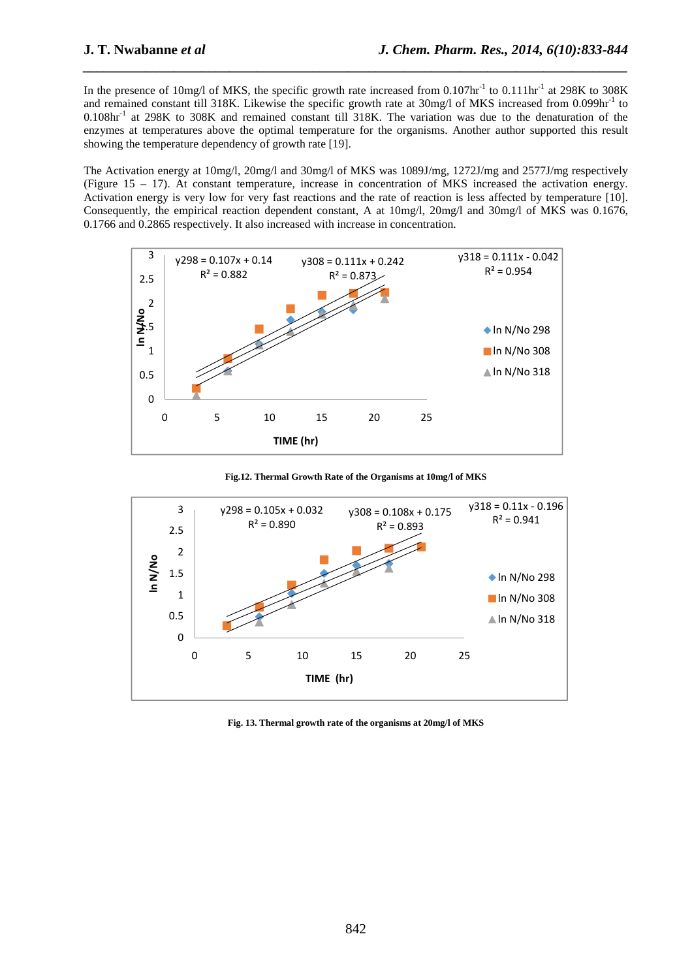In the presence of 10mg/l of MKS, the specific growth rate increased from 0.107hr<sup>-1</sup> to 0.111hr<sup>-1</sup> at 298K to 308K and remained constant till 318K. Likewise the specific growth rate at 30mg/l of MKS increased from 0.099hr<sup>-1</sup> to 0.108hr-1 at 298K to 308K and remained constant till 318K. The variation was due to the denaturation of the enzymes at temperatures above the optimal temperature for the organisms. Another author supported this result showing the temperature dependency of growth rate [19].

*\_\_\_\_\_\_\_\_\_\_\_\_\_\_\_\_\_\_\_\_\_\_\_\_\_\_\_\_\_\_\_\_\_\_\_\_\_\_\_\_\_\_\_\_\_\_\_\_\_\_\_\_\_\_\_\_\_\_\_\_\_\_\_\_\_\_\_\_\_\_\_\_\_\_\_\_\_\_*

The Activation energy at 10mg/l, 20mg/l and 30mg/l of MKS was 1089J/mg, 1272J/mg and 2577J/mg respectively (Figure 15 – 17). At constant temperature, increase in concentration of MKS increased the activation energy. Activation energy is very low for very fast reactions and the rate of reaction is less affected by temperature [10]. Consequently, the empirical reaction dependent constant, A at 10mg/l, 20mg/l and 30mg/l of MKS was 0.1676, 0.1766 and 0.2865 respectively. It also increased with increase in concentration.



**Fig.12. Thermal Growth Rate of the Organisms at 10mg/l of MKS** 



**Fig. 13. Thermal growth rate of the organisms at 20mg/l of MKS**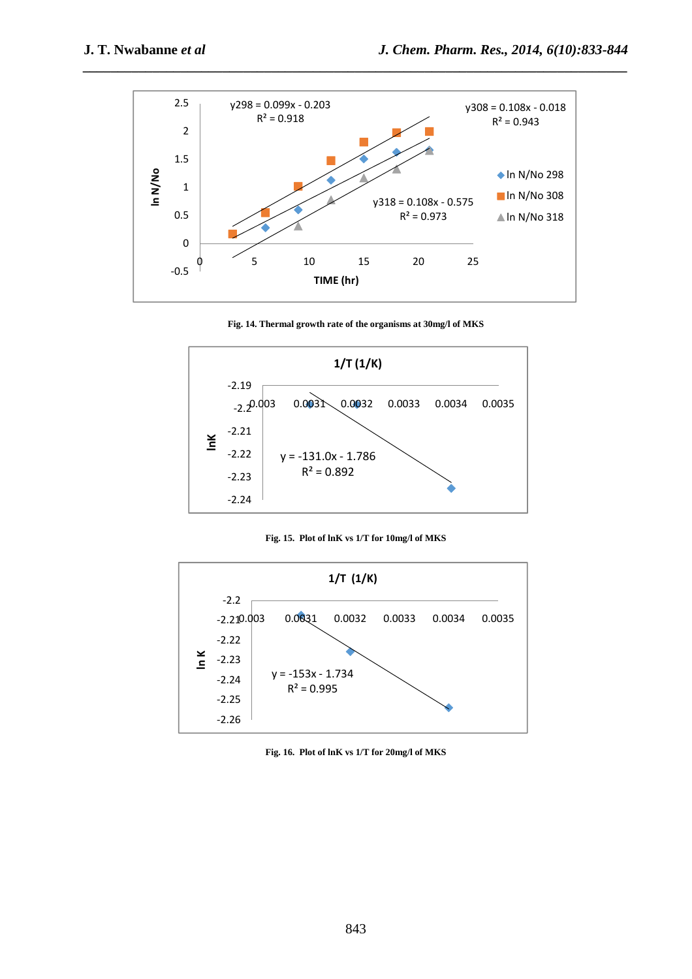

*\_\_\_\_\_\_\_\_\_\_\_\_\_\_\_\_\_\_\_\_\_\_\_\_\_\_\_\_\_\_\_\_\_\_\_\_\_\_\_\_\_\_\_\_\_\_\_\_\_\_\_\_\_\_\_\_\_\_\_\_\_\_\_\_\_\_\_\_\_\_\_\_\_\_\_\_\_\_*

**Fig. 14. Thermal growth rate of the organisms at 30mg/l of MKS** 



**Fig. 15. Plot of lnK vs 1/T for 10mg/l of MKS** 



**Fig. 16. Plot of lnK vs 1/T for 20mg/l of MKS**